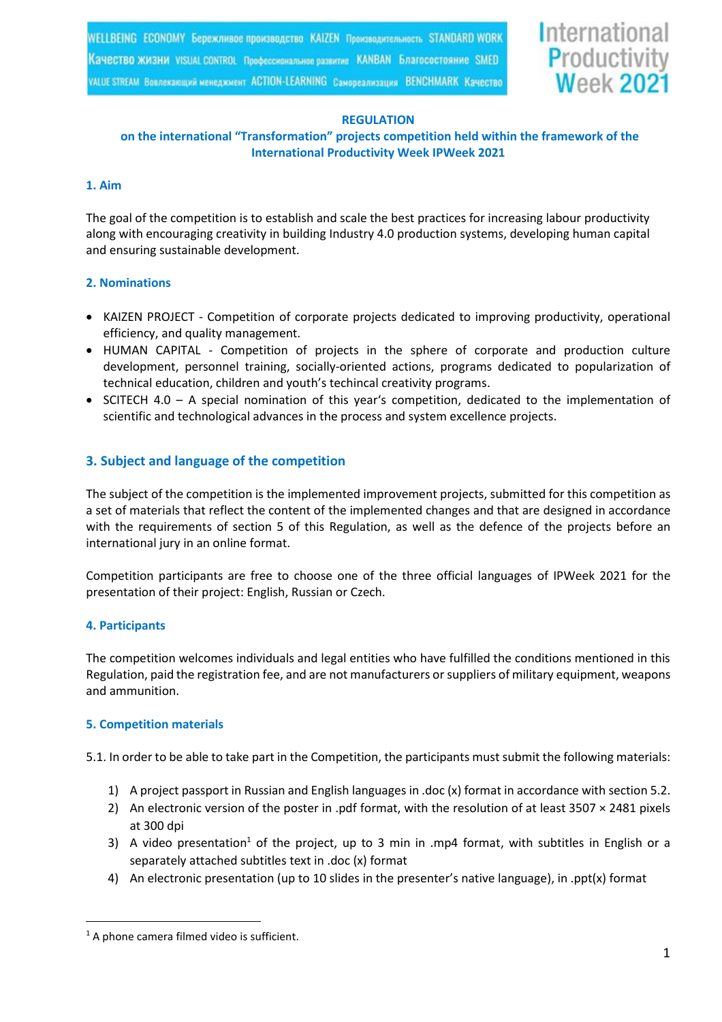

#### **REGULATION**

# **on the international "Transformation" projects competition held within the framework of the International Productivity Week IPWeek 2021**

#### **1. Aim**

The goal of the competition is to establish and scale the best practices for increasing labour productivity along with encouraging creativity in building Industry 4.0 production systems, developing human capital and ensuring sustainable development.

## **2. Nominations**

- KAIZEN PROJECT Competition of corporate projects dedicated to improving productivity, operational efficiency, and quality management.
- HUMAN CAPITAL Competition of projects in the sphere of corporate and production culture development, personnel training, socially-oriented actions, programs dedicated to popularization of technical education, children and youth's techincal creativity programs.
- SCITECH 4.0 A special nomination of this year's competition, dedicated to the implementation of scientific and technological advances in the process and system excellence projects.

# **3. Subject and language of the competition**

The subject of the competition is the implemented improvement projects, submitted for this competition as a set of materials that reflect the content of the implemented changes and that are designed in accordance with the requirements of section 5 of this Regulation, as well as the defence of the projects before an international jury in an online format.

Competition participants are free to choose one of the three official languages of IPWeek 2021 for the presentation of their project: English, Russian or Czech.

#### **4. Participants**

The competition welcomes individuals and legal entities who have fulfilled the conditions mentioned in this Regulation, paid the registration fee, and are not manufacturers or suppliers of military equipment, weapons and ammunition.

# **5. Competition materials**

5.1. In order to be able to take part in the Competition, the participants must submit the following materials:

- 1) A project passport in Russian and English languages in .doc (x) format in accordance with section 5.2.
- 2) An electronic version of the poster in .pdf format, with the resolution of at least 3507 × 2481 pixels at 300 dpi
- 3) A video presentation<sup>1</sup> of the project, up to 3 min in .mp4 format, with subtitles in English or a separately attached subtitles text in .doc (x) format
- 4) An electronic presentation (up to 10 slides in the presenter's native language), in .ppt(x) format

 $1$  A phone camera filmed video is sufficient.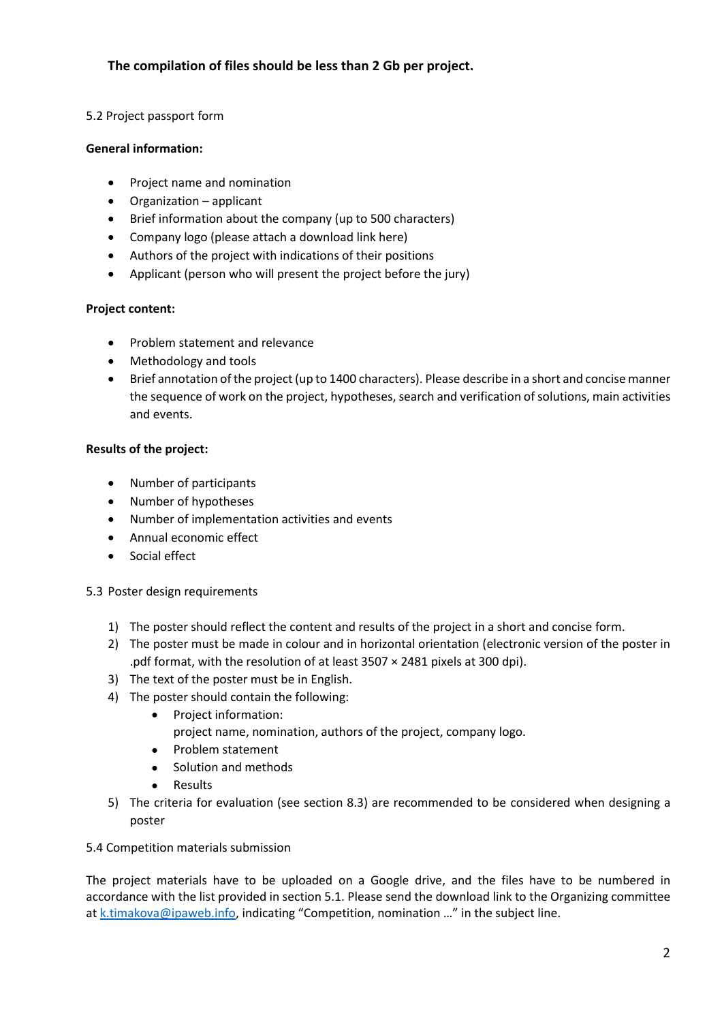# **The compilation of files should be less than 2 Gb per project.**

## 5.2 Project passport form

## **General information:**

- Project name and nomination
- Organization applicant
- Brief information about the company (up to 500 characters)
- Company logo (please attach a download link here)
- Authors of the project with indications of their positions
- Applicant (person who will present the project before the jury)

# **Project content:**

- Problem statement and relevance
- Methodology and tools
- Brief annotation of the project (up to 1400 characters). Please describe in a short and concise manner the sequence of work on the project, hypotheses, search and verification of solutions, main activities and events.

## **Results of the project:**

- Number of participants
- Number of hypotheses
- Number of implementation activities and events
- Annual economic effect
- Social effect

# 5.3 Poster design requirements

- 1) The poster should reflect the content and results of the project in a short and concise form.
- 2) The poster must be made in colour and in horizontal orientation (electronic version of the poster in .pdf format, with the resolution of at least 3507 × 2481 pixels at 300 dpi).
- 3) The text of the poster must be in English.
- 4) The poster should contain the following:
	- Project information:
		- project name, nomination, authors of the project, company logo.
		- Problem statement
		- Solution and methods
	- Results
- 5) The criteria for evaluation (see section 8.3) are recommended to be considered when designing a poster

# 5.4 Competition materials submission

The project materials have to be uploaded on a Google drive, and the files have to be numbered in accordance with the list provided in section 5.1. Please send the download link to the Organizing committee at  $k.tima kova@ipaweb.info$ , indicating "Competition, nomination ..." in the subject line.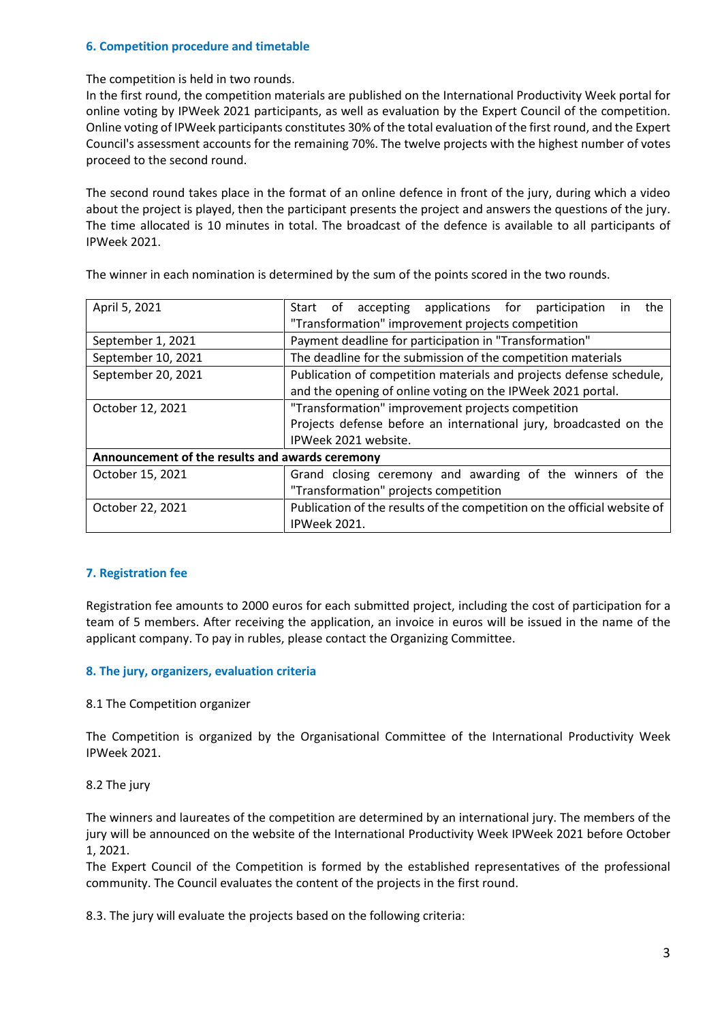## **6. Competition procedure and timetable**

The competition is held in two rounds.

In the first round, the competition materials are published on the International Productivity Week portal for online voting by IPWeek 2021 participants, as well as evaluation by the Expert Council of the competition. Online voting of IPWeek participants constitutes 30% of the total evaluation of the first round, and the Expert Council's assessment accounts for the remaining 70%. The twelve projects with the highest number of votes proceed to the second round.

The second round takes place in the format of an online defence in front of the jury, during which a video about the project is played, then the participant presents the project and answers the questions of the jury. The time allocated is 10 minutes in total. The broadcast of the defence is available to all participants of IPWeek 2021.

| April 5, 2021                                   | Start of accepting applications for participation<br>the<br>ın           |  |  |  |
|-------------------------------------------------|--------------------------------------------------------------------------|--|--|--|
|                                                 | "Transformation" improvement projects competition                        |  |  |  |
| September 1, 2021                               | Payment deadline for participation in "Transformation"                   |  |  |  |
| September 10, 2021                              | The deadline for the submission of the competition materials             |  |  |  |
| September 20, 2021                              | Publication of competition materials and projects defense schedule,      |  |  |  |
|                                                 | and the opening of online voting on the IPWeek 2021 portal.              |  |  |  |
| October 12, 2021                                | "Transformation" improvement projects competition                        |  |  |  |
|                                                 | Projects defense before an international jury, broadcasted on the        |  |  |  |
|                                                 | IPWeek 2021 website.                                                     |  |  |  |
| Announcement of the results and awards ceremony |                                                                          |  |  |  |
| October 15, 2021                                | Grand closing ceremony and awarding of the winners of the                |  |  |  |
|                                                 | "Transformation" projects competition                                    |  |  |  |
| October 22, 2021                                | Publication of the results of the competition on the official website of |  |  |  |
|                                                 | IPWeek 2021.                                                             |  |  |  |

The winner in each nomination is determined by the sum of the points scored in the two rounds.

#### **7. Registration fee**

Registration fee amounts to 2000 euros for each submitted project, including the cost of participation for a team of 5 members. After receiving the application, an invoice in euros will be issued in the name of the applicant company. To pay in rubles, please contact the Organizing Committee.

#### **8. The jury, organizers, evaluation criteria**

8.1 The Competition organizer

The Competition is organized by the Organisational Committee of the International Productivity Week IPWeek 2021.

8.2 The jury

The winners and laureates of the competition are determined by an international jury. The members of the jury will be announced on the website of the International Productivity Week IPWeek 2021 before October 1, 2021.

The Expert Council of the Competition is formed by the established representatives of the professional community. The Council evaluates the content of the projects in the first round.

8.3. The jury will evaluate the projects based on the following criteria: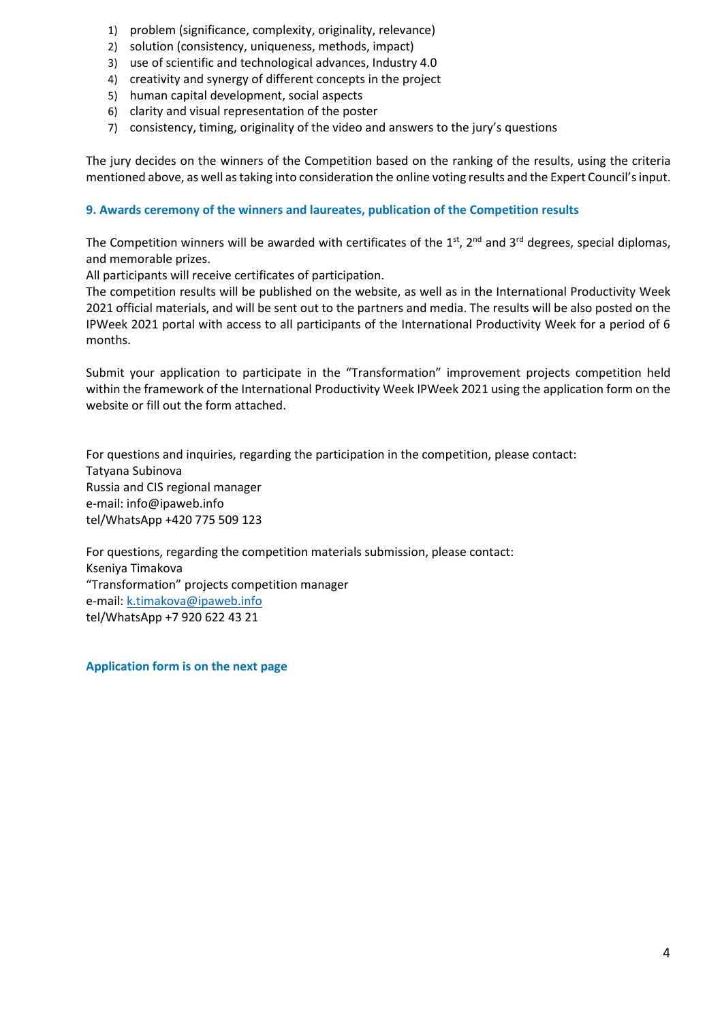- 1) problem (significance, complexity, originality, relevance)
- 2) solution (consistency, uniqueness, methods, impact)
- 3) use of scientific and technological advances, Industry 4.0
- 4) creativity and synergy of different concepts in the project
- 5) human capital development, social aspects
- 6) clarity and visual representation of the poster
- 7) consistency, timing, originality of the video and answers to the jury's questions

The jury decides on the winners of the Competition based on the ranking of the results, using the criteria mentioned above, as well as taking into consideration the online voting results and the Expert Council's input.

## **9. Awards ceremony of the winners and laureates, publication of the Competition results**

The Competition winners will be awarded with certificates of the  $1^{\text{st}}$ , 2<sup>nd</sup> and 3<sup>rd</sup> degrees, special diplomas, and memorable prizes.

All participants will receive certificates of participation.

The competition results will be published on the website, as well as in the International Productivity Week 2021 official materials, and will be sent out to the partners and media. The results will be also posted on the IPWeek 2021 portal with access to all participants of the International Productivity Week for a period of 6 months.

Submit your application to participate in the "Transformation" improvement projects competition held within the framework of the International Productivity Week IPWeek 2021 using the application form on the website or fill out the form attached.

For questions and inquiries, regarding the participation in the competition, please contact: Tatyana Subinova Russia and CIS regional manager e-mail: info@ipaweb.info tel/WhatsApp +420 775 509 123

For questions, regarding the competition materials submission, please contact: Kseniya Timakova "Transformation" projects competition manager e-mail: [k.timakova@ipaweb.info](mailto:k.timakova@ipaweb.info) tel/WhatsApp +7 920 622 43 21

**Application form is on the next page**